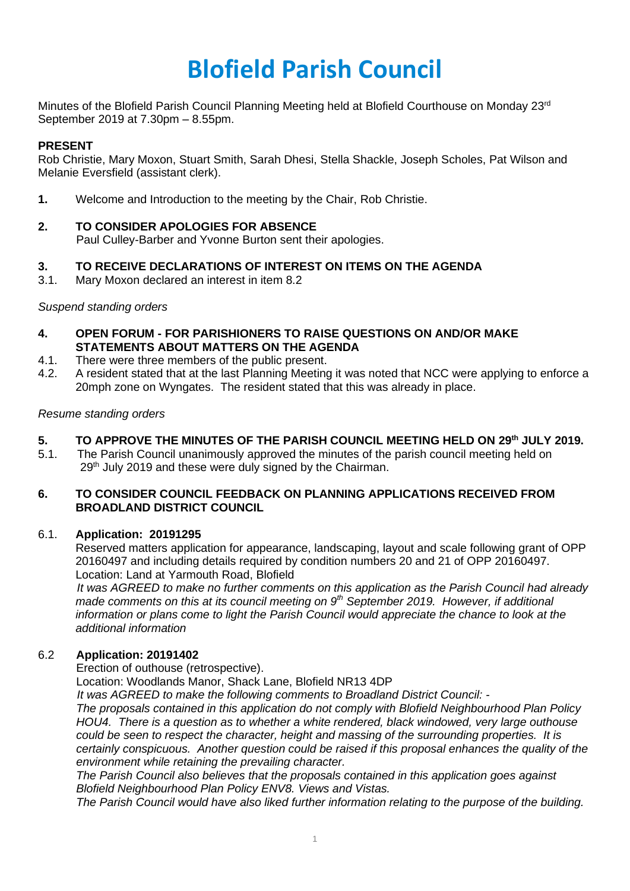# **Blofield Parish Council**

Minutes of the Blofield Parish Council Planning Meeting held at Blofield Courthouse on Monday 23<sup>rd</sup> September 2019 at 7.30pm – 8.55pm.

#### **PRESENT**

Rob Christie, Mary Moxon, Stuart Smith, Sarah Dhesi, Stella Shackle, Joseph Scholes, Pat Wilson and Melanie Eversfield (assistant clerk).

**1.** Welcome and Introduction to the meeting by the Chair, Rob Christie.

# **2. TO CONSIDER APOLOGIES FOR ABSENCE**

Paul Culley-Barber and Yvonne Burton sent their apologies.

## **3. TO RECEIVE DECLARATIONS OF INTEREST ON ITEMS ON THE AGENDA**

3.1. Mary Moxon declared an interest in item 8.2

*Suspend standing orders*

- **4. OPEN FORUM - FOR PARISHIONERS TO RAISE QUESTIONS ON AND/OR MAKE STATEMENTS ABOUT MATTERS ON THE AGENDA**
- 4.1. There were three members of the public present.
- 4.2. A resident stated that at the last Planning Meeting it was noted that NCC were applying to enforce a 20mph zone on Wyngates. The resident stated that this was already in place.

#### *Resume standing orders*

## **5. TO APPROVE THE MINUTES OF THE PARISH COUNCIL MEETING HELD ON 29 th JULY 2019.**

5.1. The Parish Council unanimously approved the minutes of the parish council meeting held on 29<sup>th</sup> July 2019 and these were duly signed by the Chairman.

#### **6. TO CONSIDER COUNCIL FEEDBACK ON PLANNING APPLICATIONS RECEIVED FROM BROADLAND DISTRICT COUNCIL**

#### 6.1. **Application: 20191295**

Reserved matters application for appearance, landscaping, layout and scale following grant of OPP 20160497 and including details required by condition numbers 20 and 21 of OPP 20160497. Location: Land at Yarmouth Road, Blofield

*It was AGREED to make no further comments on this application as the Parish Council had already made comments on this at its council meeting on 9th September 2019. However, if additional information or plans come to light the Parish Council would appreciate the chance to look at the additional information*

## 6.2 **Application: 20191402**

Erection of outhouse (retrospective).

Location: Woodlands Manor, Shack Lane, Blofield NR13 4DP

 *It was AGREED to make the following comments to Broadland District Council: -*

*The proposals contained in this application do not comply with Blofield Neighbourhood Plan Policy HOU4. There is a question as to whether a white rendered, black windowed, very large outhouse could be seen to respect the character, height and massing of the surrounding properties. It is certainly conspicuous. Another question could be raised if this proposal enhances the quality of the environment while retaining the prevailing character.* 

*The Parish Council also believes that the proposals contained in this application goes against Blofield Neighbourhood Plan Policy ENV8. Views and Vistas.* 

*The Parish Council would have also liked further information relating to the purpose of the building.*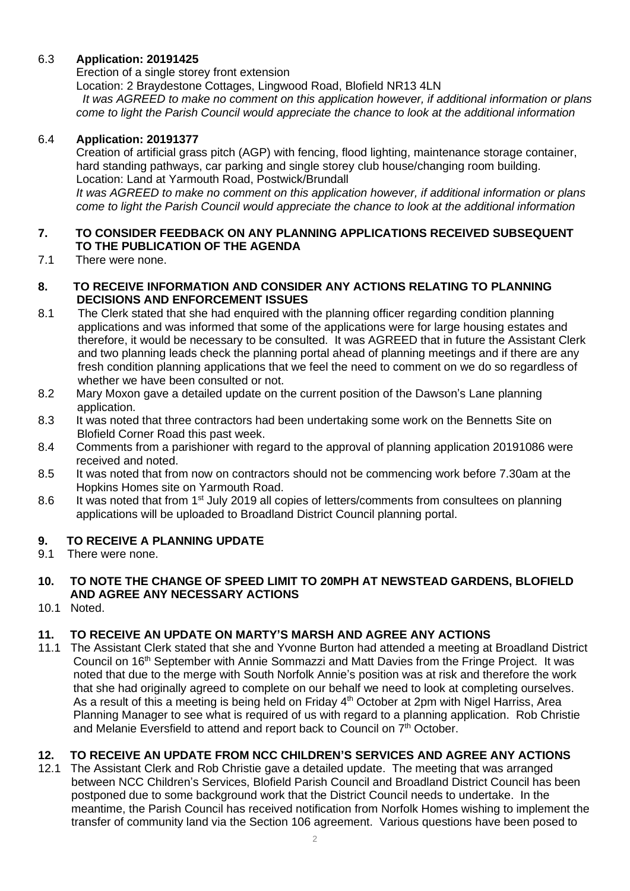# 6.3 **Application: 20191425**

Erection of a single storey front extension

Location: 2 Braydestone Cottages, Lingwood Road, Blofield NR13 4LN

 *It was AGREED to make no comment on this application however, if additional information or plans come to light the Parish Council would appreciate the chance to look at the additional information*

### 6.4 **Application: 20191377**

Creation of artificial grass pitch (AGP) with fencing, flood lighting, maintenance storage container, hard standing pathways, car parking and single storey club house/changing room building. Location: Land at Yarmouth Road, Postwick/Brundall

*It was AGREED to make no comment on this application however, if additional information or plans come to light the Parish Council would appreciate the chance to look at the additional information*

# **7. TO CONSIDER FEEDBACK ON ANY PLANNING APPLICATIONS RECEIVED SUBSEQUENT TO THE PUBLICATION OF THE AGENDA**

7.1 There were none.

## **8. TO RECEIVE INFORMATION AND CONSIDER ANY ACTIONS RELATING TO PLANNING DECISIONS AND ENFORCEMENT ISSUES**

- 8.1 The Clerk stated that she had enquired with the planning officer regarding condition planning applications and was informed that some of the applications were for large housing estates and therefore, it would be necessary to be consulted. It was AGREED that in future the Assistant Clerk and two planning leads check the planning portal ahead of planning meetings and if there are any fresh condition planning applications that we feel the need to comment on we do so regardless of whether we have been consulted or not.
- 8.2 Mary Moxon gave a detailed update on the current position of the Dawson's Lane planning application.
- 8.3 It was noted that three contractors had been undertaking some work on the Bennetts Site on Blofield Corner Road this past week.
- 8.4 Comments from a parishioner with regard to the approval of planning application 20191086 were received and noted.
- 8.5 It was noted that from now on contractors should not be commencing work before 7.30am at the Hopkins Homes site on Yarmouth Road.
- 8.6 It was noted that from 1<sup>st</sup> July 2019 all copies of letters/comments from consultees on planning applications will be uploaded to Broadland District Council planning portal.

# **9. TO RECEIVE A PLANNING UPDATE**

9.1 There were none.

#### **10. TO NOTE THE CHANGE OF SPEED LIMIT TO 20MPH AT NEWSTEAD GARDENS, BLOFIELD AND AGREE ANY NECESSARY ACTIONS**

10.1 Noted.

# **11. TO RECEIVE AN UPDATE ON MARTY'S MARSH AND AGREE ANY ACTIONS**

11.1 The Assistant Clerk stated that she and Yvonne Burton had attended a meeting at Broadland District Council on 16<sup>th</sup> September with Annie Sommazzi and Matt Davies from the Fringe Project. It was noted that due to the merge with South Norfolk Annie's position was at risk and therefore the work that she had originally agreed to complete on our behalf we need to look at completing ourselves. As a result of this a meeting is being held on Friday 4<sup>th</sup> October at 2pm with Nigel Harriss, Area Planning Manager to see what is required of us with regard to a planning application. Rob Christie and Melanie Eversfield to attend and report back to Council on 7<sup>th</sup> October.

# **12. TO RECEIVE AN UPDATE FROM NCC CHILDREN'S SERVICES AND AGREE ANY ACTIONS**

12.1 The Assistant Clerk and Rob Christie gave a detailed update. The meeting that was arranged between NCC Children's Services, Blofield Parish Council and Broadland District Council has been postponed due to some background work that the District Council needs to undertake. In the meantime, the Parish Council has received notification from Norfolk Homes wishing to implement the transfer of community land via the Section 106 agreement. Various questions have been posed to